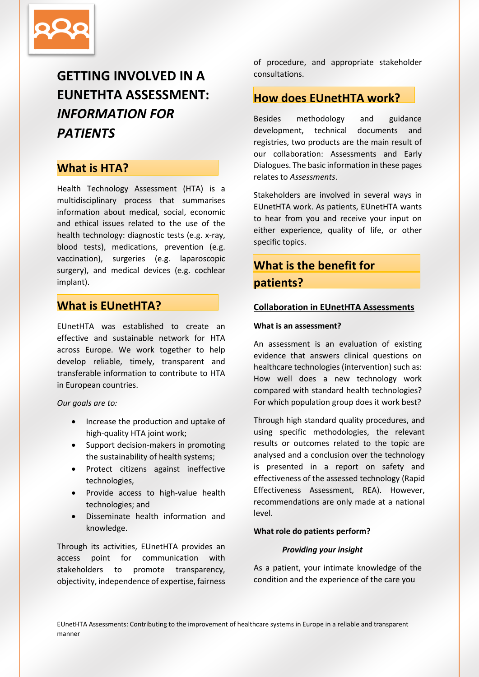

# **GETTING INVOLVED IN A EUNETHTA ASSESSMENT:** *INFORMATION FOR PATIENTS*

## **What is HTA?**

Health Technology Assessment (HTA) is a multidisciplinary process that summarises information about medical, social, economic and ethical issues related to the use of the health technology: diagnostic tests (e.g. x-ray, blood tests), medications, prevention (e.g. vaccination), surgeries (e.g. laparoscopic surgery), and medical devices (e.g. cochlear implant).

## **What is EUnetHTA?**

EUnetHTA was established to create an effective and sustainable network for HTA across Europe. We work together to help develop reliable, timely, transparent and transferable information to contribute to HTA in European countries.

*Our goals are to:*

- Increase the production and uptake of high-quality HTA joint work;
- Support decision-makers in promoting the sustainability of health systems;
- Protect citizens against ineffective technologies,
- Provide access to high-value health technologies; and
- Disseminate health information and knowledge.

Through its activities, EUnetHTA provides an access point for communication with stakeholders to promote transparency, objectivity, independence of expertise, fairness

of procedure, and appropriate stakeholder consultations.

## **How does EUnetHTA work?**

Besides methodology and guidance development, technical documents and registries, two products are the main result of our collaboration: Assessments and Early Dialogues. The basic information in these pages relates to *Assessments*.

Stakeholders are involved in several ways in EUnetHTA work. As patients, EUnetHTA wants to hear from you and receive your input on either experience, quality of life, or other specific topics.

## **What is the benefit for patients?**

#### **Collaboration in EUnetHTA Assessments**

#### **What is an assessment?**

An assessment is an evaluation of existing evidence that answers clinical questions on healthcare technologies (intervention) such as: How well does a new technology work compared with standard health technologies? For which population group does it work best?

Through high standard quality procedures, and using specific methodologies, the relevant results or outcomes related to the topic are analysed and a conclusion over the technology is presented in a report on safety and effectiveness of the assessed technology (Rapid Effectiveness Assessment, REA). However, recommendations are only made at a national level.

#### **What role do patients perform?**

#### *Providing your insight*

As a patient, your intimate knowledge of the condition and the experience of the care you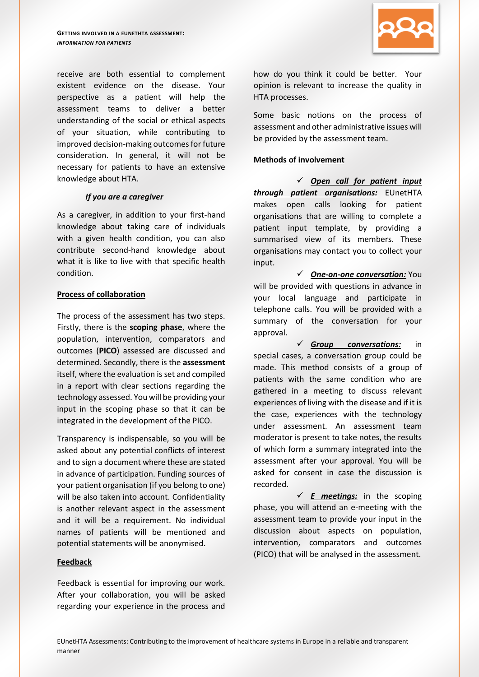

#### *If you are a caregiver*

As a caregiver, in addition to your first-hand knowledge about taking care of individuals with a given health condition, you can also contribute second-hand knowledge about what it is like to live with that specific health condition.

#### **Process of collaboration**

The process of the assessment has two steps. Firstly, there is the **scoping phase**, where the population, intervention, comparators and outcomes (**PICO**) assessed are discussed and determined. Secondly, there is the **assessment** itself, where the evaluation is set and compiled in a report with clear sections regarding the technology assessed. You will be providing your input in the scoping phase so that it can be integrated in the development of the PICO.

Transparency is indispensable, so you will be asked about any potential conflicts of interest and to sign a document where these are stated in advance of participation. Funding sources of your patient organisation (if you belong to one) will be also taken into account. Confidentiality is another relevant aspect in the assessment and it will be a requirement. No individual names of patients will be mentioned and potential statements will be anonymised.

#### **Feedback**

Feedback is essential for improving our work. After your collaboration, you will be asked regarding your experience in the process and



how do you think it could be better. Your opinion is relevant to increase the quality in HTA processes.

Some basic notions on the process of assessment and other administrative issues will be provided by the assessment team.

#### **Methods of involvement**

 *Open call for patient input through patient organisations:* EUnetHTA makes open calls looking for patient organisations that are willing to complete a patient input template, by providing a summarised view of its members. These organisations may contact you to collect your input.

 *One-on-one conversation:* You will be provided with questions in advance in your local language and participate in telephone calls. You will be provided with a summary of the conversation for your approval.

 *Group conversations:* in special cases, a conversation group could be made. This method consists of a group of patients with the same condition who are gathered in a meeting to discuss relevant experiences of living with the disease and if it is the case, experiences with the technology under assessment. An assessment team moderator is present to take notes, the results of which form a summary integrated into the assessment after your approval. You will be asked for consent in case the discussion is recorded.

 $\checkmark$  **E** meetings: in the scoping phase, you will attend an e-meeting with the assessment team to provide your input in the discussion about aspects on population, intervention, comparators and outcomes (PICO) that will be analysed in the assessment.